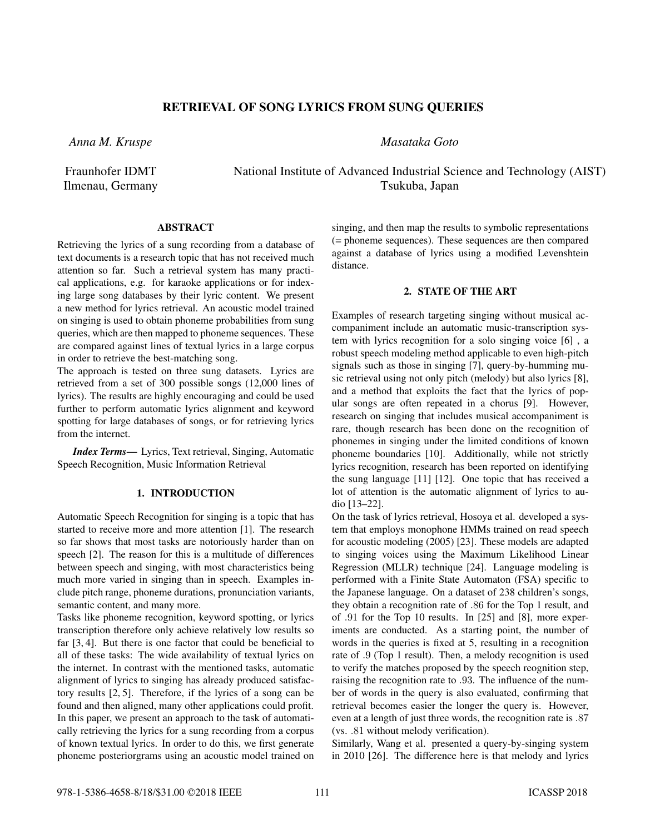# RETRIEVAL OF SONG LYRICS FROM SUNG QUERIES

*Anna M. Kruspe*

Fraunhofer IDMT Ilmenau, Germany National Institute of Advanced Industrial Science and Technology (AIST) Tsukuba, Japan

*Masataka Goto*

### ABSTRACT

Retrieving the lyrics of a sung recording from a database of text documents is a research topic that has not received much attention so far. Such a retrieval system has many practical applications, e.g. for karaoke applications or for indexing large song databases by their lyric content. We present a new method for lyrics retrieval. An acoustic model trained on singing is used to obtain phoneme probabilities from sung queries, which are then mapped to phoneme sequences. These are compared against lines of textual lyrics in a large corpus in order to retrieve the best-matching song.

The approach is tested on three sung datasets. Lyrics are retrieved from a set of 300 possible songs (12,000 lines of lyrics). The results are highly encouraging and could be used further to perform automatic lyrics alignment and keyword spotting for large databases of songs, or for retrieving lyrics from the internet.

*Index Terms*— Lyrics, Text retrieval, Singing, Automatic Speech Recognition, Music Information Retrieval

## 1. INTRODUCTION

Automatic Speech Recognition for singing is a topic that has started to receive more and more attention [1]. The research so far shows that most tasks are notoriously harder than on speech [2]. The reason for this is a multitude of differences between speech and singing, with most characteristics being much more varied in singing than in speech. Examples include pitch range, phoneme durations, pronunciation variants, semantic content, and many more.

Tasks like phoneme recognition, keyword spotting, or lyrics transcription therefore only achieve relatively low results so far [3, 4]. But there is one factor that could be beneficial to all of these tasks: The wide availability of textual lyrics on the internet. In contrast with the mentioned tasks, automatic alignment of lyrics to singing has already produced satisfactory results [2, 5]. Therefore, if the lyrics of a song can be found and then aligned, many other applications could profit. In this paper, we present an approach to the task of automatically retrieving the lyrics for a sung recording from a corpus of known textual lyrics. In order to do this, we first generate phoneme posteriorgrams using an acoustic model trained on singing, and then map the results to symbolic representations (= phoneme sequences). These sequences are then compared against a database of lyrics using a modified Levenshtein distance.

### 2. STATE OF THE ART

Examples of research targeting singing without musical accompaniment include an automatic music-transcription system with lyrics recognition for a solo singing voice [6] , a robust speech modeling method applicable to even high-pitch signals such as those in singing [7], query-by-humming music retrieval using not only pitch (melody) but also lyrics [8], and a method that exploits the fact that the lyrics of popular songs are often repeated in a chorus [9]. However, research on singing that includes musical accompaniment is rare, though research has been done on the recognition of phonemes in singing under the limited conditions of known phoneme boundaries [10]. Additionally, while not strictly lyrics recognition, research has been reported on identifying the sung language [11] [12]. One topic that has received a lot of attention is the automatic alignment of lyrics to audio [13–22].

On the task of lyrics retrieval, Hosoya et al. developed a system that employs monophone HMMs trained on read speech for acoustic modeling (2005) [23]. These models are adapted to singing voices using the Maximum Likelihood Linear Regression (MLLR) technique [24]. Language modeling is performed with a Finite State Automaton (FSA) specific to the Japanese language. On a dataset of 238 children's songs, they obtain a recognition rate of .86 for the Top 1 result, and of .91 for the Top 10 results. In [25] and [8], more experiments are conducted. As a starting point, the number of words in the queries is fixed at 5, resulting in a recognition rate of .9 (Top 1 result). Then, a melody recognition is used to verify the matches proposed by the speech reognition step, raising the recognition rate to .93. The influence of the number of words in the query is also evaluated, confirming that retrieval becomes easier the longer the query is. However, even at a length of just three words, the recognition rate is .87 (vs. .81 without melody verification).

Similarly, Wang et al. presented a query-by-singing system in 2010 [26]. The difference here is that melody and lyrics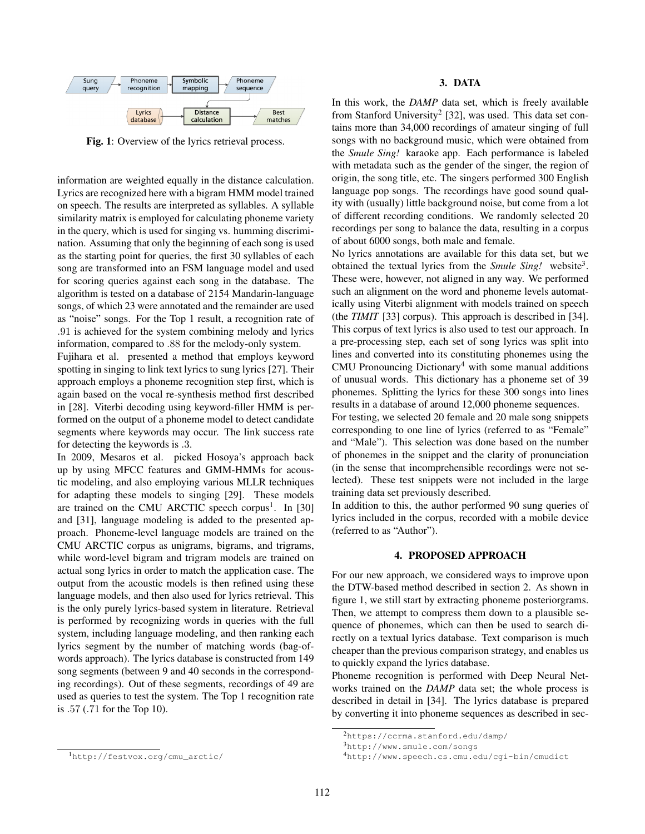

Fig. 1: Overview of the lyrics retrieval process.

information are weighted equally in the distance calculation. Lyrics are recognized here with a bigram HMM model trained on speech. The results are interpreted as syllables. A syllable similarity matrix is employed for calculating phoneme variety in the query, which is used for singing vs. humming discrimination. Assuming that only the beginning of each song is used as the starting point for queries, the first 30 syllables of each song are transformed into an FSM language model and used for scoring queries against each song in the database. The algorithm is tested on a database of 2154 Mandarin-language songs, of which 23 were annotated and the remainder are used as "noise" songs. For the Top 1 result, a recognition rate of .91 is achieved for the system combining melody and lyrics information, compared to .88 for the melody-only system.

Fujihara et al. presented a method that employs keyword spotting in singing to link text lyrics to sung lyrics [27]. Their approach employs a phoneme recognition step first, which is again based on the vocal re-synthesis method first described in [28]. Viterbi decoding using keyword-filler HMM is performed on the output of a phoneme model to detect candidate segments where keywords may occur. The link success rate for detecting the keywords is .3.

In 2009, Mesaros et al. picked Hosoya's approach back up by using MFCC features and GMM-HMMs for acoustic modeling, and also employing various MLLR techniques for adapting these models to singing [29]. These models are trained on the CMU ARCTIC speech corpus<sup>1</sup>. In [30] and [31], language modeling is added to the presented approach. Phoneme-level language models are trained on the CMU ARCTIC corpus as unigrams, bigrams, and trigrams, while word-level bigram and trigram models are trained on actual song lyrics in order to match the application case. The output from the acoustic models is then refined using these language models, and then also used for lyrics retrieval. This is the only purely lyrics-based system in literature. Retrieval is performed by recognizing words in queries with the full system, including language modeling, and then ranking each lyrics segment by the number of matching words (bag-ofwords approach). The lyrics database is constructed from 149 song segments (between 9 and 40 seconds in the corresponding recordings). Out of these segments, recordings of 49 are used as queries to test the system. The Top 1 recognition rate is .57 (.71 for the Top 10).

#### 3. DATA

In this work, the *DAMP* data set, which is freely available from Stanford University<sup>2</sup> [32], was used. This data set contains more than 34,000 recordings of amateur singing of full songs with no background music, which were obtained from the *Smule Sing!* karaoke app. Each performance is labeled with metadata such as the gender of the singer, the region of origin, the song title, etc. The singers performed 300 English language pop songs. The recordings have good sound quality with (usually) little background noise, but come from a lot of different recording conditions. We randomly selected 20 recordings per song to balance the data, resulting in a corpus of about 6000 songs, both male and female.

No lyrics annotations are available for this data set, but we obtained the textual lyrics from the *Smule Sing!* website<sup>3</sup>. These were, however, not aligned in any way. We performed such an alignment on the word and phoneme levels automatically using Viterbi alignment with models trained on speech (the *TIMIT* [33] corpus). This approach is described in [34]. This corpus of text lyrics is also used to test our approach. In a pre-processing step, each set of song lyrics was split into lines and converted into its constituting phonemes using the CMU Pronouncing Dictionary<sup>4</sup> with some manual additions of unusual words. This dictionary has a phoneme set of 39 phonemes. Splitting the lyrics for these 300 songs into lines results in a database of around 12,000 phoneme sequences.

For testing, we selected 20 female and 20 male song snippets corresponding to one line of lyrics (referred to as "Female" and "Male"). This selection was done based on the number of phonemes in the snippet and the clarity of pronunciation (in the sense that incomprehensible recordings were not selected). These test snippets were not included in the large training data set previously described.

In addition to this, the author performed 90 sung queries of lyrics included in the corpus, recorded with a mobile device (referred to as "Author").

### 4. PROPOSED APPROACH

For our new approach, we considered ways to improve upon the DTW-based method described in section 2. As shown in figure 1, we still start by extracting phoneme posteriorgrams. Then, we attempt to compress them down to a plausible sequence of phonemes, which can then be used to search directly on a textual lyrics database. Text comparison is much cheaper than the previous comparison strategy, and enables us to quickly expand the lyrics database.

Phoneme recognition is performed with Deep Neural Networks trained on the *DAMP* data set; the whole process is described in detail in [34]. The lyrics database is prepared by converting it into phoneme sequences as described in sec-

<sup>2</sup>https://ccrma.stanford.edu/damp/

<sup>3</sup>http://www.smule.com/songs

<sup>4</sup>http://www.speech.cs.cmu.edu/cgi-bin/cmudict

<sup>1</sup>http://festvox.org/cmu\_arctic/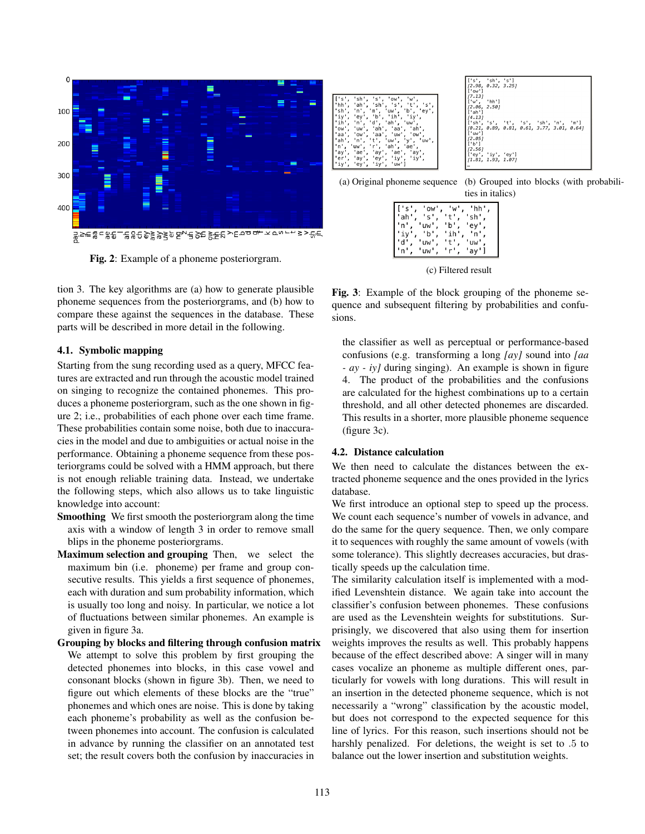

Fig. 2: Example of a phoneme posteriorgram.

tion 3. The key algorithms are (a) how to generate plausible phoneme sequences from the posteriorgrams, and (b) how to compare these against the sequences in the database. These parts will be described in more detail in the following.

### 4.1. Symbolic mapping

Starting from the sung recording used as a query, MFCC features are extracted and run through the acoustic model trained on singing to recognize the contained phonemes. This produces a phoneme posteriorgram, such as the one shown in figure 2; i.e., probabilities of each phone over each time frame. These probabilities contain some noise, both due to inaccuracies in the model and due to ambiguities or actual noise in the performance. Obtaining a phoneme sequence from these posteriorgrams could be solved with a HMM approach, but there is not enough reliable training data. Instead, we undertake the following steps, which also allows us to take linguistic knowledge into account:

- Smoothing We first smooth the posteriorgram along the time axis with a window of length 3 in order to remove small blips in the phoneme posteriorgrams.
- Maximum selection and grouping Then, we select the maximum bin (i.e. phoneme) per frame and group consecutive results. This yields a first sequence of phonemes, each with duration and sum probability information, which is usually too long and noisy. In particular, we notice a lot of fluctuations between similar phonemes. An example is given in figure 3a.
- Grouping by blocks and filtering through confusion matrix We attempt to solve this problem by first grouping the detected phonemes into blocks, in this case vowel and consonant blocks (shown in figure 3b). Then, we need to figure out which elements of these blocks are the "true" phonemes and which ones are noise. This is done by taking each phoneme's probability as well as the confusion between phonemes into account. The confusion is calculated in advance by running the classifier on an annotated test set; the result covers both the confusion by inaccuracies in



(c) Filtered result

Fig. 3: Example of the block grouping of the phoneme sequence and subsequent filtering by probabilities and confusions.

the classifier as well as perceptual or performance-based confusions (e.g. transforming a long *[ay]* sound into *[aa - ay - iy]* during singing). An example is shown in figure 4. The product of the probabilities and the confusions are calculated for the highest combinations up to a certain threshold, and all other detected phonemes are discarded. This results in a shorter, more plausible phoneme sequence (figure 3c).

## 4.2. Distance calculation

We then need to calculate the distances between the extracted phoneme sequence and the ones provided in the lyrics database.

We first introduce an optional step to speed up the process. We count each sequence's number of vowels in advance, and do the same for the query sequence. Then, we only compare it to sequences with roughly the same amount of vowels (with some tolerance). This slightly decreases accuracies, but drastically speeds up the calculation time.

The similarity calculation itself is implemented with a modified Levenshtein distance. We again take into account the classifier's confusion between phonemes. These confusions are used as the Levenshtein weights for substitutions. Surprisingly, we discovered that also using them for insertion weights improves the results as well. This probably happens because of the effect described above: A singer will in many cases vocalize an phoneme as multiple different ones, particularly for vowels with long durations. This will result in an insertion in the detected phoneme sequence, which is not necessarily a "wrong" classification by the acoustic model, but does not correspond to the expected sequence for this line of lyrics. For this reason, such insertions should not be harshly penalized. For deletions, the weight is set to .5 to balance out the lower insertion and substitution weights.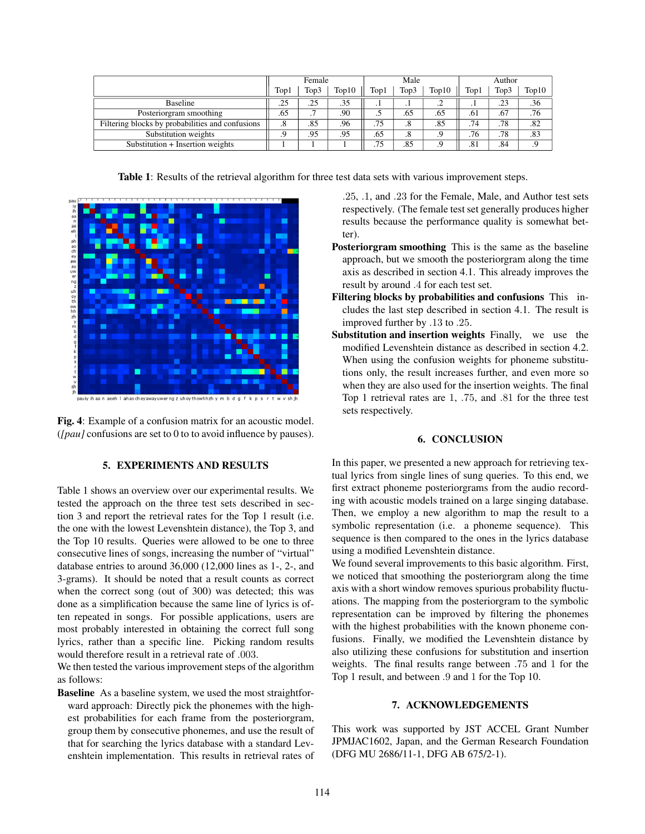|                                                  | Female |      |       | Male  |           |       | Author    |      |       |
|--------------------------------------------------|--------|------|-------|-------|-----------|-------|-----------|------|-------|
|                                                  | Top1   | Top3 | Top10 | Top 1 | Top3      | Top10 | Top1      | Top3 | Top10 |
| Baseline                                         | .25    | .25  | .35   |       |           | . .   | $\cdot$ 1 | .23  | .36   |
| Posteriorgram smoothing                          | .65    |      | .90   | ت     | .65       | .65   | .61       | .67  | .76   |
| Filtering blocks by probabilities and confusions | .8     | .85  | .96   | .75   | $\cdot^8$ | .85   | .74       | .78  | .82   |
| Substitution weights                             |        | .95  | .95   | .65   | .8        |       | .76       | .78  | .83   |
| Substitution + Insertion weights                 |        |      |       | .75   | .85       |       | .81       | .84  | .9    |

Table 1: Results of the retrieval algorithm for three test data sets with various improvement steps.





## 5. EXPERIMENTS AND RESULTS

Table 1 shows an overview over our experimental results. We tested the approach on the three test sets described in section 3 and report the retrieval rates for the Top 1 result (i.e. the one with the lowest Levenshtein distance), the Top 3, and the Top 10 results. Queries were allowed to be one to three consecutive lines of songs, increasing the number of "virtual" database entries to around 36,000 (12,000 lines as 1-, 2-, and 3-grams). It should be noted that a result counts as correct when the correct song (out of 300) was detected; this was done as a simplification because the same line of lyrics is often repeated in songs. For possible applications, users are most probably interested in obtaining the correct full song lyrics, rather than a specific line. Picking random results would therefore result in a retrieval rate of .003.

We then tested the various improvement steps of the algorithm as follows:

Baseline As a baseline system, we used the most straightforward approach: Directly pick the phonemes with the highest probabilities for each frame from the posteriorgram, group them by consecutive phonemes, and use the result of that for searching the lyrics database with a standard Levenshtein implementation. This results in retrieval rates of .25, .1, and .23 for the Female, Male, and Author test sets respectively. (The female test set generally produces higher results because the performance quality is somewhat better).

- Posteriorgram smoothing This is the same as the baseline approach, but we smooth the posteriorgram along the time axis as described in section 4.1. This already improves the result by around .4 for each test set.
- Filtering blocks by probabilities and confusions This includes the last step described in section 4.1. The result is improved further by .13 to .25.
- Substitution and insertion weights Finally, we use the modified Levenshtein distance as described in section 4.2. When using the confusion weights for phoneme substitutions only, the result increases further, and even more so when they are also used for the insertion weights. The final Top 1 retrieval rates are 1, .75, and .81 for the three test sets respectively.

#### 6. CONCLUSION

In this paper, we presented a new approach for retrieving textual lyrics from single lines of sung queries. To this end, we first extract phoneme posteriorgrams from the audio recording with acoustic models trained on a large singing database. Then, we employ a new algorithm to map the result to a symbolic representation (i.e. a phoneme sequence). This sequence is then compared to the ones in the lyrics database using a modified Levenshtein distance.

We found several improvements to this basic algorithm. First, we noticed that smoothing the posteriorgram along the time axis with a short window removes spurious probability fluctuations. The mapping from the posteriorgram to the symbolic representation can be improved by filtering the phonemes with the highest probabilities with the known phoneme confusions. Finally, we modified the Levenshtein distance by also utilizing these confusions for substitution and insertion weights. The final results range between .75 and 1 for the Top 1 result, and between .9 and 1 for the Top 10.

#### 7. ACKNOWLEDGEMENTS

This work was supported by JST ACCEL Grant Number JPMJAC1602, Japan, and the German Research Foundation (DFG MU 2686/11-1, DFG AB 675/2-1).